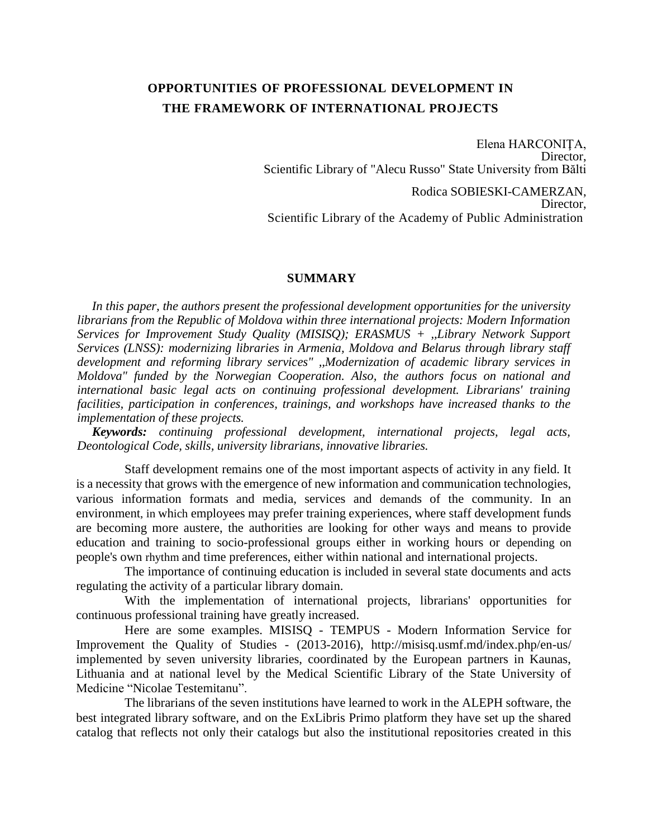## **OPPORTUNITIES OF PROFESSIONAL DEVELOPMENT IN THE FRAMEWORK OF INTERNATIONAL PROJECTS**

Elena HARCONIŢA, Director, Scientific Library of "Alecu Russo" State University from Bălti

Rodica SOBIESKI-CAMERZAN, Director, Scientific Library of the Academy of Public Administration

## **SUMMARY**

*In this paper, the authors present the professional development opportunities for the university librarians from the Republic of Moldova within three international projects: Modern Information Services for Improvement Study Quality (MISISQ); ERASMUS + ,,Library Network Support Services (LNSS): modernizing libraries in Armenia, Moldova and Belarus through library staff development and reforming library services" ,,Modernization of academic library services in Moldova" funded by the Norwegian Cooperation. Also, the authors focus on national and international basic legal acts on continuing professional development. Librarians' training facilities, participation in conferences, trainings, and workshops have increased thanks to the implementation of these projects.*

*Keywords: continuing professional development, international projects, legal acts, Deontological Code, skills, university librarians, innovative libraries.*

Staff development remains one of the most important aspects of activity in any field. It is a necessity that grows with the emergence of new information and communication technologies, various information formats and media, services and demands of the community. In an environment, in which employees may prefer training experiences, where staff development funds are becoming more austere, the authorities are looking for other ways and means to provide education and training to socio-professional groups either in working hours or depending on people's own rhythm and time preferences, either within national and international projects.

The importance of continuing education is included in several state documents and acts regulating the activity of a particular library domain.

With the implementation of international projects, librarians' opportunities for continuous professional training have greatly increased.

Here are some examples. MISISQ - TEMPUS - Modern Information Service for Improvement the Quality of Studies - (2013-2016), http://misisq.usmf.md/index.php/en-us/ implemented by seven university libraries, coordinated by the European partners in Kaunas, Lithuania and at national level by the Medical Scientific Library of the State University of Medicine "Nicolae Testemitanu".

The librarians of the seven institutions have learned to work in the ALEPH software, the best integrated library software, and on the ExLibris Primo platform they have set up the shared catalog that reflects not only their catalogs but also the institutional repositories created in this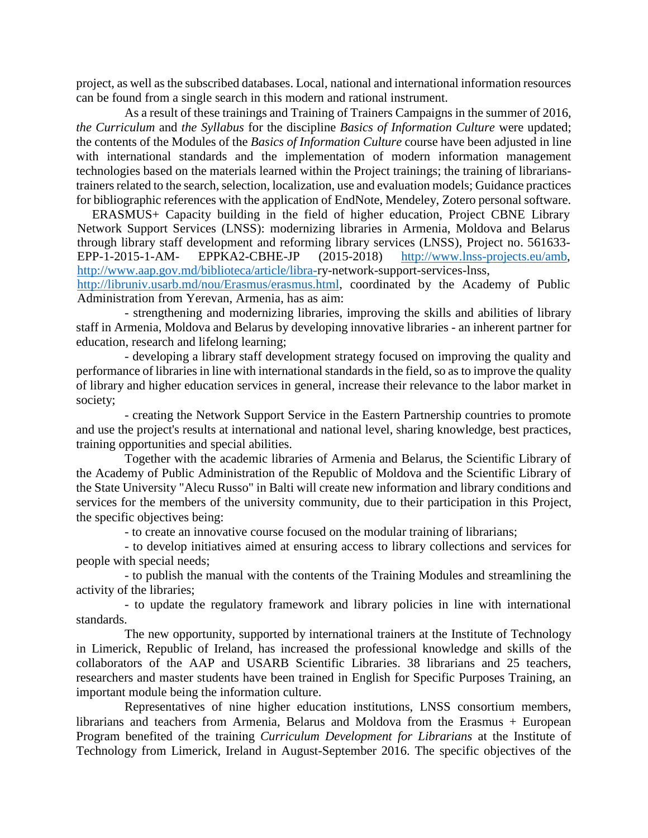project, as well as the subscribed databases. Local, national and international information resources can be found from a single search in this modern and rational instrument.

As a result of these trainings and Training of Trainers Campaigns in the summer of 2016, *the Curriculum* and *the Syllabus* for the discipline *Basics of Information Culture* were updated; the contents of the Modules of the *Basics of Information Culture* course have been adjusted in line with international standards and the implementation of modern information management technologies based on the materials learned within the Project trainings; the training of librarianstrainers related to the search, selection, localization, use and evaluation models; Guidance practices for bibliographic references with the application of EndNote, Mendeley, Zotero personal software.

ERASMUS+ Capacity building in the field of higher education, Project CBNE Library Network Support Services (LNSS): modernizing libraries in Armenia, Moldova and Belarus through library staff development and reforming library services (LNSS), Project no. 561633- EPP-1-2015-1-AM- EPPKA2-CBHE-JP (2015-2018) [http://www.lnss-projects.eu/amb,](http://www.lnss-projects.eu/amb) [http://www.aap.gov.md/biblioteca/article/libra-r](http://www.aap.gov.md/biblioteca/article/libra-)y-network-support-services-lnss,

[http://libruniv.usarb.md/nou/Erasmus/erasmus.html,](http://libruniv.usarb.md/nou/Erasmus/erasmus.html) coordinated by the Academy of Public Administration from Yerevan, Armenia, has as aim:

- strengthening and modernizing libraries, improving the skills and abilities of library staff in Armenia, Moldova and Belarus by developing innovative libraries - an inherent partner for education, research and lifelong learning;

- developing a library staff development strategy focused on improving the quality and performance of libraries in line with international standards in the field, so as to improve the quality of library and higher education services in general, increase their relevance to the labor market in society;

- creating the Network Support Service in the Eastern Partnership countries to promote and use the project's results at international and national level, sharing knowledge, best practices, training opportunities and special abilities.

Together with the academic libraries of Armenia and Belarus, the Scientific Library of the Academy of Public Administration of the Republic of Moldova and the Scientific Library of the State University "Alecu Russo" in Balti will create new information and library conditions and services for the members of the university community, due to their participation in this Project, the specific objectives being:

- to create an innovative course focused on the modular training of librarians;

- to develop initiatives aimed at ensuring access to library collections and services for people with special needs;

- to publish the manual with the contents of the Training Modules and streamlining the activity of the libraries;

- to update the regulatory framework and library policies in line with international standards.

The new opportunity, supported by international trainers at the Institute of Technology in Limerick, Republic of Ireland, has increased the professional knowledge and skills of the collaborators of the AAP and USARB Scientific Libraries. 38 librarians and 25 teachers, researchers and master students have been trained in English for Specific Purposes Training, an important module being the information culture.

Representatives of nine higher education institutions, LNSS consortium members, librarians and teachers from Armenia, Belarus and Moldova from the Erasmus + European Program benefited of the training *Curriculum Development for Librarians* at the Institute of Technology from Limerick, Ireland in August-September 2016. The specific objectives of the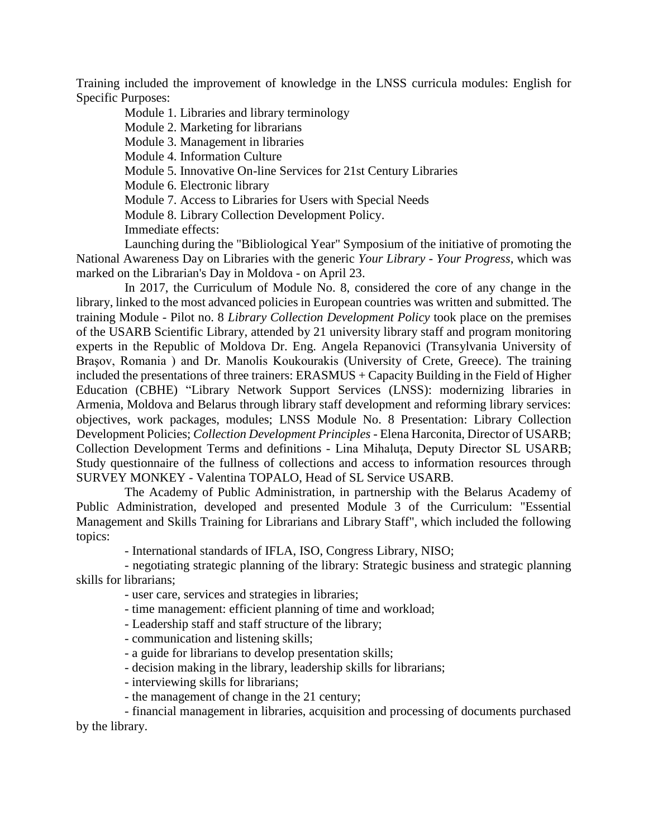Training included the improvement of knowledge in the LNSS curricula modules: English for Specific Purposes:

Module 1. Libraries and library terminology Module 2. Marketing for librarians Module 3. Management in libraries Module 4. Information Culture Module 5. Innovative On-line Services for 21st Century Libraries Module 6. Electronic library Module 7. Access to Libraries for Users with Special Needs Module 8. Library Collection Development Policy. Immediate effects:

Launching during the "Bibliological Year" Symposium of the initiative of promoting the National Awareness Day on Libraries with the generic *Your Library - Your Progress*, which was marked on the Librarian's Day in Moldova - on April 23.

In 2017, the Curriculum of Module No. 8, considered the core of any change in the library, linked to the most advanced policies in European countries was written and submitted. The training Module - Pilot no. 8 *Library Collection Development Policy* took place on the premises of the USARB Scientific Library, attended by 21 university library staff and program monitoring experts in the Republic of Moldova Dr. Eng. Angela Repanovici (Transylvania University of Braşov, Romania ) and Dr. Manolis Koukourakis (University of Crete, Greece). The training included the presentations of three trainers: ERASMUS + Capacity Building in the Field of Higher Education (CBHE) "Library Network Support Services (LNSS): modernizing libraries in Armenia, Moldova and Belarus through library staff development and reforming library services: objectives, work packages, modules; LNSS Module No. 8 Presentation: Library Collection Development Policies; *Collection Development Principles* - Elena Harconita, Director of USARB; Collection Development Terms and definitions - Lina Mihaluţa, Deputy Director SL USARB; Study questionnaire of the fullness of collections and access to information resources through SURVEY MONKEY - Valentina TOPALO, Head of SL Service USARB.

The Academy of Public Administration, in partnership with the Belarus Academy of Public Administration, developed and presented Module 3 of the Curriculum: "Essential Management and Skills Training for Librarians and Library Staff", which included the following topics:

- International standards of IFLA, ISO, Congress Library, NISO;

- negotiating strategic planning of the library: Strategic business and strategic planning skills for librarians;

- user care, services and strategies in libraries;

- time management: efficient planning of time and workload;

- Leadership staff and staff structure of the library;

- communication and listening skills;
- a guide for librarians to develop presentation skills;
- decision making in the library, leadership skills for librarians;
- interviewing skills for librarians;
- the management of change in the 21 century;

- financial management in libraries, acquisition and processing of documents purchased by the library.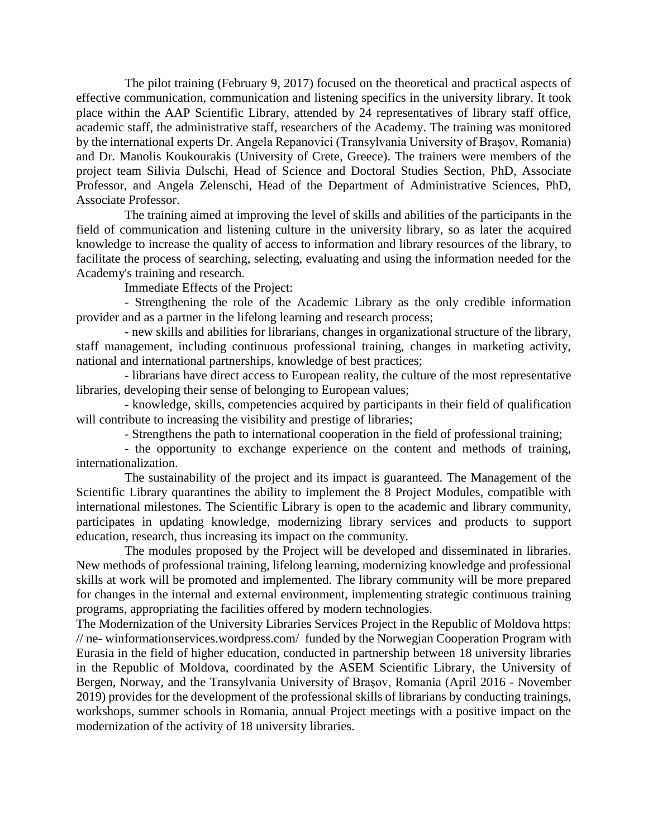The pilot training (February 9, 2017) focused on the theoretical and practical aspects of effective communication, communication and listening specifics in the university library. It took place within the AAP Scientific Library, attended by 24 representatives of library staff office, academic staff, the administrative staff, researchers of the Academy. The training was monitored by the international experts Dr. Angela Repanovici (Transylvania University of Braşov, Romania) and Dr. Manolis Koukourakis (University of Crete, Greece). The trainers were members of the project team Silivia Dulschi, Head of Science and Doctoral Studies Section, PhD, Associate Professor, and Angela Zelenschi, Head of the Department of Administrative Sciences, PhD, Associate Professor.

The training aimed at improving the level of skills and abilities of the participants in the field of communication and listening culture in the university library, so as later the acquired knowledge to increase the quality of access to information and library resources of the library, to facilitate the process of searching, selecting, evaluating and using the information needed for the Academy's training and research.

Immediate Effects of the Project:

- Strengthening the role of the Academic Library as the only credible information provider and as a partner in the lifelong learning and research process;

- new skills and abilities for librarians, changes in organizational structure of the library, staff management, including continuous professional training, changes in marketing activity, national and international partnerships, knowledge of best practices;

- librarians have direct access to European reality, the culture of the most representative libraries, developing their sense of belonging to European values;

- knowledge, skills, competencies acquired by participants in their field of qualification will contribute to increasing the visibility and prestige of libraries;

- Strengthens the path to international cooperation in the field of professional training;

- the opportunity to exchange experience on the content and methods of training, internationalization.

The sustainability of the project and its impact is guaranteed. The Management of the Scientific Library quarantines the ability to implement the 8 Project Modules, compatible with international milestones. The Scientific Library is open to the academic and library community, participates in updating knowledge, modernizing library services and products to support education, research, thus increasing its impact on the community.

The modules proposed by the Project will be developed and disseminated in libraries. New methods of professional training, lifelong learning, modernizing knowledge and professional skills at work will be promoted and implemented. The library community will be more prepared for changes in the internal and external environment, implementing strategic continuous training programs, appropriating the facilities offered by modern technologies.

The Modernization of the University Libraries Services Project in the Republic of Moldova https: // ne- winformationservices.wordpress.com/ funded by the Norwegian Cooperation Program with Eurasia in the field of higher education, conducted in partnership between 18 university libraries in the Republic of Moldova, coordinated by the ASEM Scientific Library, the University of Bergen, Norway, and the Transylvania University of Braşov, Romania (April 2016 - November 2019) provides for the development of the professional skills of librarians by conducting trainings, workshops, summer schools in Romania, annual Project meetings with a positive impact on the modernization of the activity of 18 university libraries.